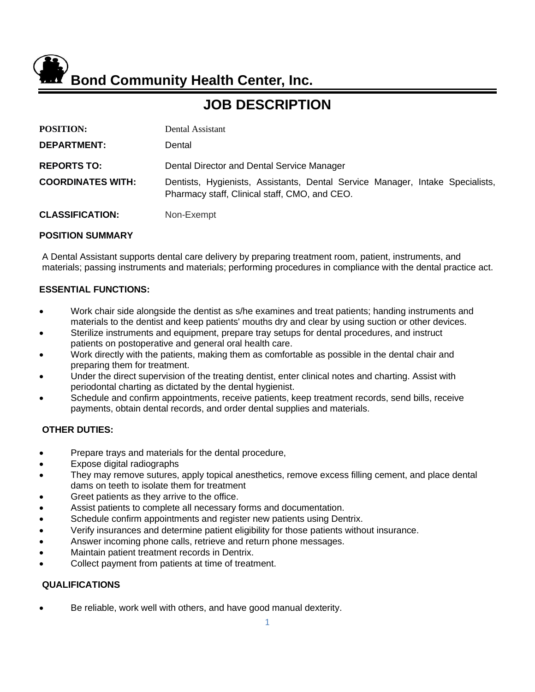**Bond Community Health Center, Inc.**

# **JOB DESCRIPTION**

| <b>POSITION:</b>         | Dental Assistant                                                                                                               |
|--------------------------|--------------------------------------------------------------------------------------------------------------------------------|
| <b>DEPARTMENT:</b>       | Dental                                                                                                                         |
| <b>REPORTS TO:</b>       | Dental Director and Dental Service Manager                                                                                     |
| <b>COORDINATES WITH:</b> | Dentists, Hygienists, Assistants, Dental Service Manager, Intake Specialists,<br>Pharmacy staff, Clinical staff, CMO, and CEO. |
| <b>CLASSIFICATION:</b>   | Non-Exempt                                                                                                                     |

### **POSITION SUMMARY**

A Dental Assistant supports dental care delivery by preparing treatment room, patient, instruments, and materials; passing instruments and materials; performing procedures in compliance with the dental practice act.

### **ESSENTIAL FUNCTIONS:**

- Work chair side alongside the dentist as s/he examines and treat patients; handing instruments and materials to the dentist and keep patients' mouths dry and clear by using suction or other devices.
- Sterilize instruments and equipment, prepare tray setups for dental procedures, and instruct patients on postoperative and general oral health care.
- Work directly with the patients, making them as comfortable as possible in the dental chair and preparing them for treatment.
- Under the direct supervision of the treating dentist, enter clinical notes and charting. Assist with periodontal charting as dictated by the dental hygienist.
- Schedule and confirm appointments, receive patients, keep treatment records, send bills, receive payments, obtain dental records, and order dental supplies and materials.

## **OTHER DUTIES:**

- Prepare trays and materials for the dental procedure,
- Expose digital radiographs
- They may remove sutures, apply topical anesthetics, remove excess filling cement, and place dental dams on teeth to isolate them for treatment
- Greet patients as they arrive to the office.
- Assist patients to complete all necessary forms and documentation.
- Schedule confirm appointments and register new patients using Dentrix.
- Verify insurances and determine patient eligibility for those patients without insurance.
- Answer incoming phone calls, retrieve and return phone messages.
- Maintain patient treatment records in Dentrix.
- Collect payment from patients at time of treatment.

#### **QUALIFICATIONS**

Be reliable, work well with others, and have good manual dexterity.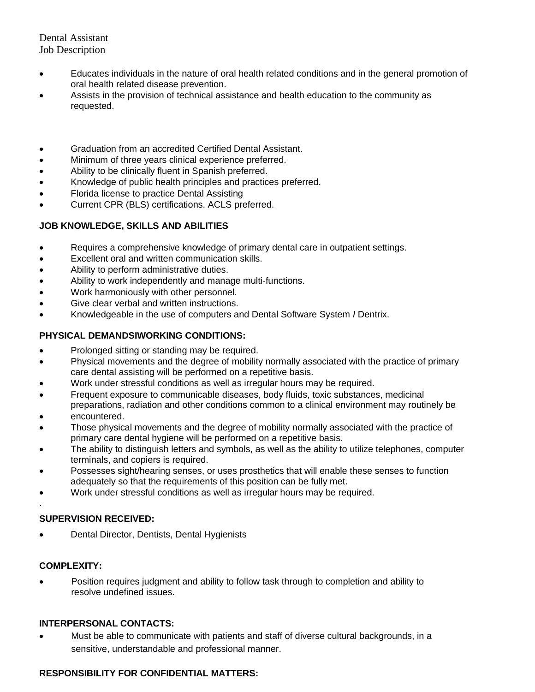Dental Assistant Job Description

- Educates individuals in the nature of oral health related conditions and in the general promotion of oral health related disease prevention.
- Assists in the provision of technical assistance and health education to the community as requested.
- Graduation from an accredited Certified Dental Assistant.
- Minimum of three years clinical experience preferred.
- Ability to be clinically fluent in Spanish preferred.
- Knowledge of public health principles and practices preferred.
- Florida license to practice Dental Assisting
- Current CPR (BLS) certifications. ACLS preferred.

# **JOB KNOWLEDGE, SKILLS AND ABILITIES**

- Requires a comprehensive knowledge of primary dental care in outpatient settings.
- Excellent oral and written communication skills.
- Ability to perform administrative duties.
- Ability to work independently and manage multi-functions.
- Work harmoniously with other personnel.
- Give clear verbal and written instructions.
- Knowledgeable in the use of computers and Dental Software System *I* Dentrix.

# **PHYSICAL DEMANDSIWORKING CONDITIONS:**

- Prolonged sitting or standing may be required.
- Physical movements and the degree of mobility normally associated with the practice of primary care dental assisting will be performed on a repetitive basis.
- Work under stressful conditions as well as irregular hours may be required.
- Frequent exposure to communicable diseases, body fluids, toxic substances, medicinal preparations, radiation and other conditions common to a clinical environment may routinely be
- encountered.
- Those physical movements and the degree of mobility normally associated with the practice of primary care dental hygiene will be performed on a repetitive basis.
- The ability to distinguish letters and symbols, as well as the ability to utilize telephones, computer terminals, and copiers is required.
- Possesses sight/hearing senses, or uses prosthetics that will enable these senses to function adequately so that the requirements of this position can be fully met.
- Work under stressful conditions as well as irregular hours may be required.

## **SUPERVISION RECEIVED:**

• Dental Director, Dentists, Dental Hygienists

## **COMPLEXITY:**

.

• Position requires judgment and ability to follow task through to completion and ability to resolve undefined issues.

## **INTERPERSONAL CONTACTS:**

• Must be able to communicate with patients and staff of diverse cultural backgrounds, in a sensitive, understandable and professional manner.

# **RESPONSIBILITY FOR CONFIDENTIAL MATTERS:**